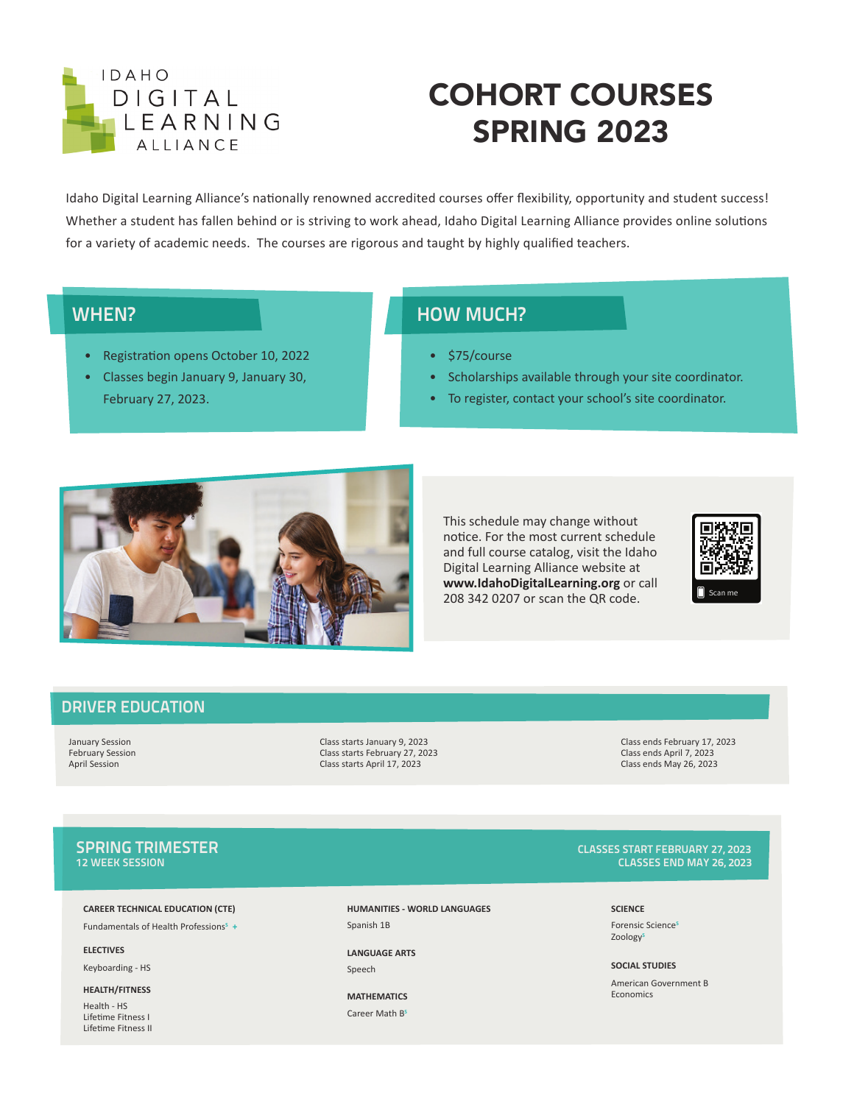

# COHORT COURSES SPRING 2023

Idaho Digital Learning Alliance's nationally renowned accredited courses offer flexibility, opportunity and student success! Whether a student has fallen behind or is striving to work ahead, Idaho Digital Learning Alliance provides online solutions for a variety of academic needs. The courses are rigorous and taught by highly qualified teachers.

### WHEN?

- Registration opens October 10, 2022
- Classes begin January 9, January 30, February 27, 2023.

### HOW MUCH?

- \$75/course
- Scholarships available through your site coordinator.
- To register, contact your school's site coordinator.



This schedule may change without notice. For the most current schedule and full course catalog, visit the Idaho Digital Learning Alliance website at **www.IdahoDigitalLearning.org** or call 208 342 0207 or scan the QR code.



### DRIVER EDUCATION

February Session Class starts February 27, 2023 Class ends April 7, 2023 Class starts April 17, 2023

January Session Class starts January 9, 2023 Class ends February 17, 2023

#### **CAREER TECHNICAL EDUCATION (CTE)**

Fundamentals of Health Professions<sup>s</sup> +

**ELECTIVES**

Keyboarding - HS

**HEALTH/FITNESS**

Health - HS Lifetime Fitness I Lifetime Fitness II **HUMANITIES - WORLD LANGUAGES**  Spanish 1B

**LANGUAGE ARTS** Speech

**MATHEMATICS** Career Math B**<sup>S</sup>**

### SPRING TRIMESTER EXAMPLE TO A SERVE THE SERVE OF THE SERVE TO A SERVE THE SERVE TO A SERVE TO A SERVE TO A SER<br>The serve of the server of the server of the server of the server of the server of the server of the server of **CLASSES END MAY 26, 2023**

**SCIENCE** Forensic Science**<sup>S</sup>** Zoology**<sup>S</sup>**

#### **SOCIAL STUDIES**

American Government B Economics